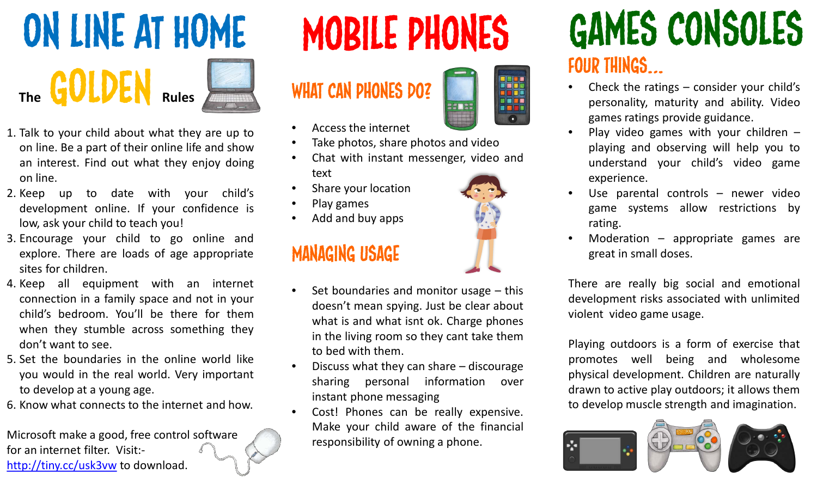



- 1. Talk to your child about what they are up to on line. Be a part of their online life and show an interest. Find out what they enjoy doing on line.
- 2. Keep up to date with your child's development online. If your confidence is low, ask your child to teach you!
- 3. Encourage your child to go online and explore. There are loads of age appropriate sites for children.
- 4. Keep all equipment with an internet connection in a family space and not in your child's bedroom. You'll be there for them when they stumble across something they don't want to see.
- 5. Set the boundaries in the online world like you would in the real world. Very important to develop at a young age.
- 6. Know what connects to the internet and how.

Microsoft make a good, free control software for an internet filter. Visit: <http://tiny.cc/usk3vw> to download.

WHAT CAN PHONES DO?



- Access the internet
- Take photos, share photos and video
- Chat with instant messenger, video and text
- Share your location
- Play games
- Add and buy apps

### Managing Usage

- Set boundaries and monitor usage  $-$  this doesn't mean spying. Just be clear about what is and what isnt ok. Charge phones in the living room so they cant take them to bed with them.
- Discuss what they can share  $-$  discourage sharing personal information over instant phone messaging
- Cost! Phones can be really expensive. Make your child aware of the financial responsibility of owning a phone.

### Four things… Mobile phones Games consoles

- Check the ratings  $-$  consider your child's personality, maturity and ability. Video games ratings provide guidance.
- Play video games with your children  $$ playing and observing will help you to understand your child's video game experience.
- Use parental controls  $-$  newer video game systems allow restrictions by rating.
- Moderation  $-$  appropriate games are great in small doses.

There are really big social and emotional development risks associated with unlimited violent video game usage.

Playing outdoors is a form of exercise that promotes well being and wholesome physical development. Children are naturally drawn to active play outdoors; it allows them to develop muscle strength and imagination.